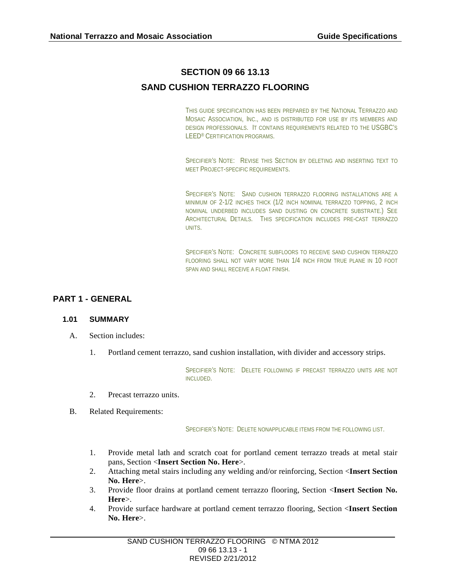# **SECTION 09 66 13.13**

# **SAND CUSHION TERRAZZO FLOORING**

THIS GUIDE SPECIFICATION HAS BEEN PREPARED BY THE NATIONAL TERRAZZO AND MOSAIC ASSOCIATION, INC., AND IS DISTRIBUTED FOR USE BY ITS MEMBERS AND DESIGN PROFESSIONALS. IT CONTAINS REQUIREMENTS RELATED TO THE USGBC'S LEED® CERTIFICATION PROGRAMS.

SPECIFIER'S NOTE: REVISE THIS SECTION BY DELETING AND INSERTING TEXT TO MEET PROJECT-SPECIFIC REQUIREMENTS.

SPECIFIER'S NOTE: SAND CUSHION TERRAZZO FLOORING INSTALLATIONS ARE A MINIMUM OF 2-1/2 INCHES THICK (1/2 INCH NOMINAL TERRAZZO TOPPING, 2 INCH NOMINAL UNDERBED INCLUDES SAND DUSTING ON CONCRETE SUBSTRATE.) SEE ARCHITECTURAL DETAILS. THIS SPECIFICATION INCLUDES PRE-CAST TERRAZZO UNITS.

SPECIFIER'S NOTE: CONCRETE SUBFLOORS TO RECEIVE SAND CUSHION TERRAZZO FLOORING SHALL NOT VARY MORE THAN 1/4 INCH FROM TRUE PLANE IN 10 FOOT SPAN AND SHALL RECEIVE A FLOAT FINISH.

# **PART 1 - GENERAL**

# **1.01 SUMMARY**

- A. Section includes:
	- 1. Portland cement terrazzo, sand cushion installation, with divider and accessory strips.

SPECIFIER'S NOTE: DELETE FOLLOWING IF PRECAST TERRAZZO UNITS ARE NOT INCLUDED.

- 2. Precast terrazzo units.
- B. Related Requirements:

SPECIFIER'S NOTE: DELETE NONAPPLICABLE ITEMS FROM THE FOLLOWING LIST.

- 1. Provide metal lath and scratch coat for portland cement terrazzo treads at metal stair pans, Section <**Insert Section No. Here**>.
- 2. Attaching metal stairs including any welding and/or reinforcing, Section <**Insert Section No. Here**>.
- 3. Provide floor drains at portland cement terrazzo flooring, Section <**Insert Section No. Here**>.
- 4. Provide surface hardware at portland cement terrazzo flooring, Section <**Insert Section No. Here**>.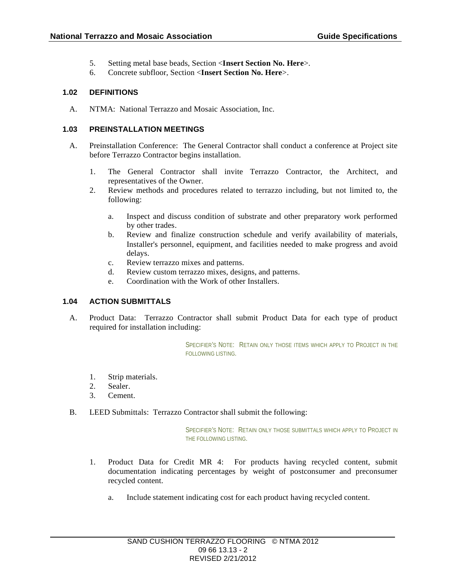- 5. Setting metal base beads, Section <**Insert Section No. Here**>.
- 6. Concrete subfloor, Section <**Insert Section No. Here**>.

#### **1.02 DEFINITIONS**

A. NTMA: National Terrazzo and Mosaic Association, Inc.

#### **1.03 PREINSTALLATION MEETINGS**

- A. Preinstallation Conference: The General Contractor shall conduct a conference at Project site before Terrazzo Contractor begins installation.
	- 1. The General Contractor shall invite Terrazzo Contractor, the Architect, and representatives of the Owner.
	- 2. Review methods and procedures related to terrazzo including, but not limited to, the following:
		- a. Inspect and discuss condition of substrate and other preparatory work performed by other trades.
		- b. Review and finalize construction schedule and verify availability of materials, Installer's personnel, equipment, and facilities needed to make progress and avoid delays.
		- c. Review terrazzo mixes and patterns.
		- d. Review custom terrazzo mixes, designs, and patterns.
		- e. Coordination with the Work of other Installers.

# **1.04 ACTION SUBMITTALS**

A. Product Data: Terrazzo Contractor shall submit Product Data for each type of product required for installation including:

> SPECIFIER'S NOTE: RETAIN ONLY THOSE ITEMS WHICH APPLY TO PROJECT IN THE FOLLOWING LISTING.

- 1. Strip materials.
- 2. Sealer.
- 3. Cement.
- B. LEED Submittals: Terrazzo Contractor shall submit the following:

SPECIFIER'S NOTE: RETAIN ONLY THOSE SUBMITTALS WHICH APPLY TO PROJECT IN THE FOLLOWING LISTING.

- 1. Product Data for Credit MR 4: For products having recycled content, submit documentation indicating percentages by weight of postconsumer and preconsumer recycled content.
	- a. Include statement indicating cost for each product having recycled content.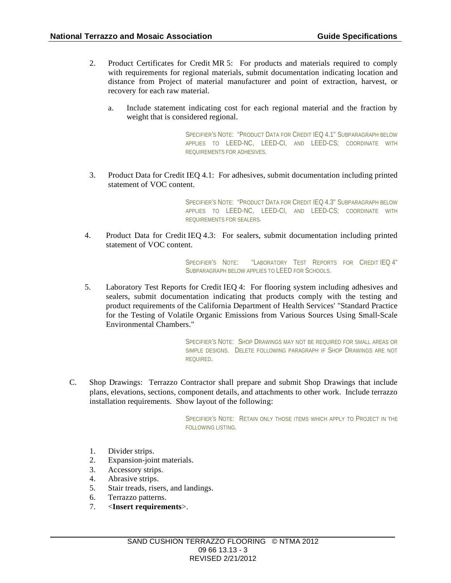- 2. Product Certificates for Credit MR 5: For products and materials required to comply with requirements for regional materials, submit documentation indicating location and distance from Project of material manufacturer and point of extraction, harvest, or recovery for each raw material.
	- a. Include statement indicating cost for each regional material and the fraction by weight that is considered regional.

SPECIFIER'S NOTE: "PRODUCT DATA FOR CREDIT IEQ 4.1" SUBPARAGRAPH BELOW APPLIES TO LEED-NC, LEED-CI, AND LEED-CS; COORDINATE WITH REQUIREMENTS FOR ADHESIVES.

3. Product Data for Credit IEQ 4.1: For adhesives, submit documentation including printed statement of VOC content.

> SPECIFIER'S NOTE: "PRODUCT DATA FOR CREDIT IEQ 4.3" SUBPARAGRAPH BELOW APPLIES TO LEED-NC, LEED-CI, AND LEED-CS; COORDINATE WITH REQUIREMENTS FOR SEALERS.

4. Product Data for Credit IEQ 4.3: For sealers, submit documentation including printed statement of VOC content.

> SPECIFIER'S NOTE: "LABORATORY TEST REPORTS FOR CREDITIEQ 4" SUBPARAGRAPH BELOW APPLIES TO LEED FOR SCHOOLS.

5. Laboratory Test Reports for Credit IEQ 4: For flooring system including adhesives and sealers, submit documentation indicating that products comply with the testing and product requirements of the California Department of Health Services' "Standard Practice for the Testing of Volatile Organic Emissions from Various Sources Using Small-Scale Environmental Chambers."

> SPECIFIER'S NOTE: SHOP DRAWINGS MAY NOT BE REQUIRED FOR SMALL AREAS OR SIMPLE DESIGNS. DELETE FOLLOWING PARAGRAPH IF SHOP DRAWINGS ARE NOT REQUIRED.

C. Shop Drawings: Terrazzo Contractor shall prepare and submit Shop Drawings that include plans, elevations, sections, component details, and attachments to other work. Include terrazzo installation requirements. Show layout of the following:

> SPECIFIER'S NOTE: RETAIN ONLY THOSE ITEMS WHICH APPLY TO PROJECT IN THE FOLLOWING LISTING.

- 1. Divider strips.
- 2. Expansion-joint materials.
- 3. Accessory strips.
- 4. Abrasive strips.
- 5. Stair treads, risers, and landings.
- 6. Terrazzo patterns.
- 7. <**Insert requirements**>.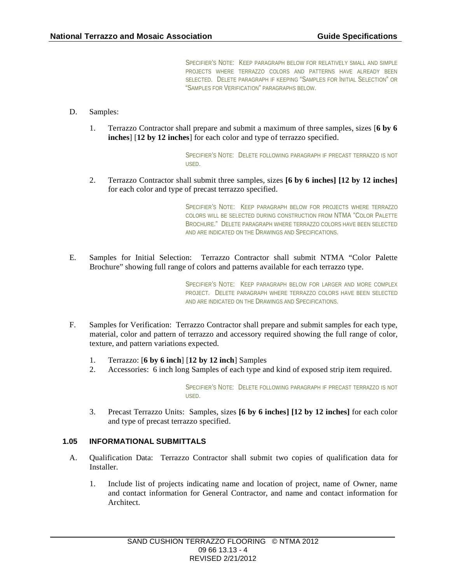SPECIFIER'S NOTE: KEEP PARAGRAPH BELOW FOR RELATIVELY SMALL AND SIMPLE PROJECTS WHERE TERRAZZO COLORS AND PATTERNS HAVE ALREADY BEEN SELECTED. DELETE PARAGRAPH IF KEEPING "SAMPLES FOR INITIAL SELECTION" OR "SAMPLES FOR VERIFICATION" PARAGRAPHS BELOW.

- D. Samples:
	- 1. Terrazzo Contractor shall prepare and submit a maximum of three samples, sizes [**6 by 6 inches**] [**12 by 12 inches**] for each color and type of terrazzo specified.

SPECIFIER'S NOTE: DELETE FOLLOWING PARAGRAPH IF PRECAST TERRAZZO IS NOT USED.

2. Terrazzo Contractor shall submit three samples, sizes **[6 by 6 inches] [12 by 12 inches]**  for each color and type of precast terrazzo specified.

> SPECIFIER'S NOTE: KEEP PARAGRAPH BELOW FOR PROJECTS WHERE TERRAZZO COLORS WILL BE SELECTED DURING CONSTRUCTION FROM NTMA "COLOR PALETTE BROCHURE." DELETE PARAGRAPH WHERE TERRAZZO COLORS HAVE BEEN SELECTED AND ARE INDICATED ON THE DRAWINGS AND SPECIFICATIONS.

E. Samples for Initial Selection: Terrazzo Contractor shall submit NTMA "Color Palette Brochure" showing full range of colors and patterns available for each terrazzo type.

> SPECIFIER'S NOTE: KEEP PARAGRAPH BELOW FOR LARGER AND MORE COMPLEX PROJECT. DELETE PARAGRAPH WHERE TERRAZZO COLORS HAVE BEEN SELECTED AND ARE INDICATED ON THE DRAWINGS AND SPECIFICATIONS.

- F. Samples for Verification: Terrazzo Contractor shall prepare and submit samples for each type, material, color and pattern of terrazzo and accessory required showing the full range of color, texture, and pattern variations expected.
	- 1. Terrazzo: [**6 by 6 inch**] [**12 by 12 inch**] Samples
	- 2. Accessories: 6 inch long Samples of each type and kind of exposed strip item required.

SPECIFIER'S NOTE: DELETE FOLLOWING PARAGRAPH IF PRECAST TERRAZZO IS NOT USED.

3. Precast Terrazzo Units: Samples, sizes **[6 by 6 inches] [12 by 12 inches]** for each color and type of precast terrazzo specified.

#### **1.05 INFORMATIONAL SUBMITTALS**

- A. Qualification Data: Terrazzo Contractor shall submit two copies of qualification data for Installer.
	- 1. Include list of projects indicating name and location of project, name of Owner, name and contact information for General Contractor, and name and contact information for Architect.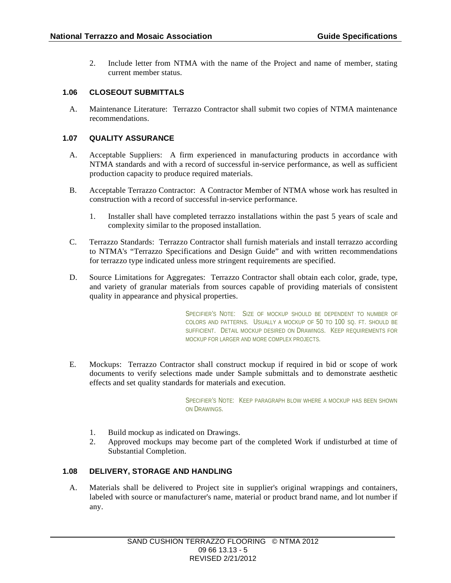2. Include letter from NTMA with the name of the Project and name of member, stating current member status.

# **1.06 CLOSEOUT SUBMITTALS**

A. Maintenance Literature: Terrazzo Contractor shall submit two copies of NTMA maintenance recommendations.

# **1.07 QUALITY ASSURANCE**

- A. Acceptable Suppliers: A firm experienced in manufacturing products in accordance with NTMA standards and with a record of successful in-service performance, as well as sufficient production capacity to produce required materials.
- B. Acceptable Terrazzo Contractor: A Contractor Member of NTMA whose work has resulted in construction with a record of successful in-service performance.
	- 1. Installer shall have completed terrazzo installations within the past 5 years of scale and complexity similar to the proposed installation.
- C. Terrazzo Standards: Terrazzo Contractor shall furnish materials and install terrazzo according to NTMA's "Terrazzo Specifications and Design Guide" and with written recommendations for terrazzo type indicated unless more stringent requirements are specified.
- D. Source Limitations for Aggregates: Terrazzo Contractor shall obtain each color, grade, type, and variety of granular materials from sources capable of providing materials of consistent quality in appearance and physical properties.

SPECIFIER'S NOTE: SIZE OF MOCKUP SHOULD BE DEPENDENT TO NUMBER OF COLORS AND PATTERNS. USUALLY A MOCKUP OF 50 TO 100 SQ. FT. SHOULD BE SUFFICIENT. DETAIL MOCKUP DESIRED ON DRAWINGS. KEEP REQUIREMENTS FOR MOCKUP FOR LARGER AND MORE COMPLEX PROJECTS.

E. Mockups: Terrazzo Contractor shall construct mockup if required in bid or scope of work documents to verify selections made under Sample submittals and to demonstrate aesthetic effects and set quality standards for materials and execution.

> SPECIFIER'S NOTE: KEEP PARAGRAPH BLOW WHERE A MOCKUP HAS BEEN SHOWN ON DRAWINGS.

- 1. Build mockup as indicated on Drawings.
- 2. Approved mockups may become part of the completed Work if undisturbed at time of Substantial Completion.

# **1.08 DELIVERY, STORAGE AND HANDLING**

A. Materials shall be delivered to Project site in supplier's original wrappings and containers, labeled with source or manufacturer's name, material or product brand name, and lot number if any.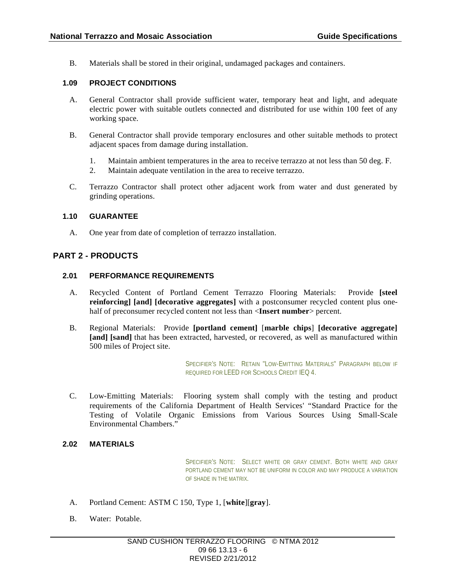B. Materials shall be stored in their original, undamaged packages and containers.

# **1.09 PROJECT CONDITIONS**

- A. General Contractor shall provide sufficient water, temporary heat and light, and adequate electric power with suitable outlets connected and distributed for use within 100 feet of any working space.
- B. General Contractor shall provide temporary enclosures and other suitable methods to protect adjacent spaces from damage during installation.
	- 1. Maintain ambient temperatures in the area to receive terrazzo at not less than 50 deg. F.
	- 2. Maintain adequate ventilation in the area to receive terrazzo.
- C. Terrazzo Contractor shall protect other adjacent work from water and dust generated by grinding operations.

# **1.10 GUARANTEE**

A. One year from date of completion of terrazzo installation.

# **PART 2 - PRODUCTS**

# **2.01 PERFORMANCE REQUIREMENTS**

- A. Recycled Content of Portland Cement Terrazzo Flooring Materials: Provide **[steel reinforcing] [and] [decorative aggregates]** with a postconsumer recycled content plus onehalf of preconsumer recycled content not less than <**Insert number**> percent.
- B. Regional Materials: Provide **[portland cement]** [**marble chips**] **[decorative aggregate] [and] [sand]** that has been extracted, harvested, or recovered, as well as manufactured within 500 miles of Project site.

SPECIFIER'S NOTE: RETAIN "LOW-EMITTING MATERIALS" PARAGRAPH BELOW IF REQUIRED FOR LEED FOR SCHOOLS CREDIT IEQ 4.

C. Low-Emitting Materials: Flooring system shall comply with the testing and product requirements of the California Department of Health Services' "Standard Practice for the Testing of Volatile Organic Emissions from Various Sources Using Small-Scale Environmental Chambers."

# **2.02 MATERIALS**

SPECIFIER'S NOTE: SELECT WHITE OR GRAY CEMENT. BOTH WHITE AND GRAY PORTLAND CEMENT MAY NOT BE UNIFORM IN COLOR AND MAY PRODUCE A VARIATION OF SHADE IN THE MATRIX.

- A. Portland Cement: ASTM C 150, Type 1, [**white**][**gray**].
- B. Water: Potable.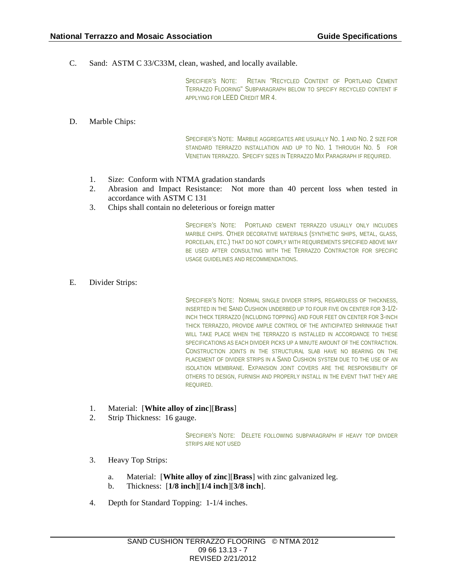C. Sand: ASTM C 33/C33M, clean, washed, and locally available.

SPECIFIER'S NOTE: RETAIN "RECYCLED CONTENT OF PORTLAND CEMENT TERRAZZO FLOORING" SUBPARAGRAPH BELOW TO SPECIFY RECYCLED CONTENT IF APPLYING FOR LEED CREDIT MR 4.

D. Marble Chips:

SPECIFIER'S NOTE: MARBLE AGGREGATES ARE USUALLY NO. 1 AND NO. 2 SIZE FOR STANDARD TERRAZZO INSTALLATION AND UP TO NO. 1 THROUGH NO. 5 FOR VENETIAN TERRAZZO. SPECIFY SIZES IN TERRAZZO MIX PARAGRAPH IF REQUIRED.

- 1. Size: Conform with NTMA gradation standards
- 2. Abrasion and Impact Resistance: Not more than 40 percent loss when tested in accordance with ASTM C 131
- 3. Chips shall contain no deleterious or foreign matter

SPECIFIER'S NOTE: PORTLAND CEMENT TERRAZZO USUALLY ONLY INCLUDES MARBLE CHIPS. OTHER DECORATIVE MATERIALS (SYNTHETIC SHIPS, METAL, GLASS, PORCELAIN, ETC.) THAT DO NOT COMPLY WITH REQUIREMENTS SPECIFIED ABOVE MAY BE USED AFTER CONSULTING WITH THE TERRAZZO CONTRACTOR FOR SPECIFIC USAGE GUIDELINES AND RECOMMENDATIONS.

E. Divider Strips:

SPECIFIER'S NOTE: NORMAL SINGLE DIVIDER STRIPS, REGARDLESS OF THICKNESS, INSERTED IN THE SAND CUSHION UNDERBED UP TO FOUR FIVE ON CENTER FOR 3-1/2- INCH THICK TERRAZZO (INCLUDING TOPPING) AND FOUR FEET ON CENTER FOR 3-INCH THICK TERRAZZO, PROVIDE AMPLE CONTROL OF THE ANTICIPATED SHRINKAGE THAT WILL TAKE PLACE WHEN THE TERRAZZO IS INSTALLED IN ACCORDANCE TO THESE SPECIFICATIONS AS EACH DIVIDER PICKS UP A MINUTE AMOUNT OF THE CONTRACTION. CONSTRUCTION JOINTS IN THE STRUCTURAL SLAB HAVE NO BEARING ON THE PLACEMENT OF DIVIDER STRIPS IN A SAND CUSHION SYSTEM DUE TO THE USE OF AN ISOLATION MEMBRANE. EXPANSION JOINT COVERS ARE THE RESPONSIBILITY OF OTHERS TO DESIGN, FURNISH AND PROPERLY INSTALL IN THE EVENT THAT THEY ARE REQUIRED.

- 1. Material: [**White alloy of zinc**][**Brass**]
- 2. Strip Thickness: 16 gauge.

SPECIFIER'S NOTE: DELETE FOLLOWING SUBPARAGRAPH IF HEAVY TOP DIVIDER STRIPS ARE NOT USED

- 3. Heavy Top Strips:
	- a. Material: [**White alloy of zinc**][**Brass**] with zinc galvanized leg.
	- b. Thickness: [**1/8 inch**][**1/4 inch**][**3/8 inch**].
- 4. Depth for Standard Topping: 1-1/4 inches.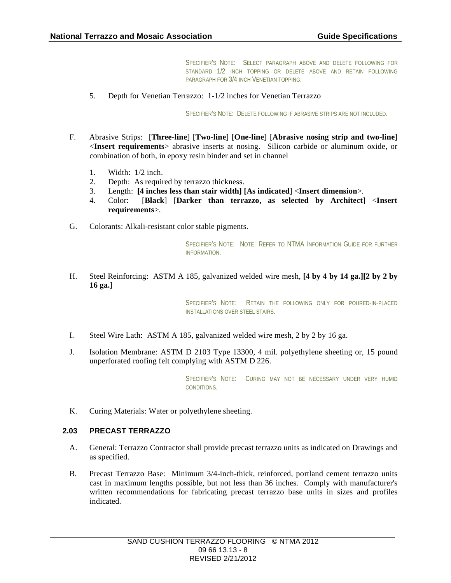SPECIFIER'S NOTE: SELECT PARAGRAPH ABOVE AND DELETE FOLLOWING FOR STANDARD 1/2 INCH TOPPING OR DELETE ABOVE AND RETAIN FOLLOWING PARAGRAPH FOR 3/4 INCH VENETIAN TOPPING.

5. Depth for Venetian Terrazzo: 1-1/2 inches for Venetian Terrazzo

SPECIFIER'S NOTE: DELETE FOLLOWING IF ABRASIVE STRIPS ARE NOT INCLUDED.

- F. Abrasive Strips: [**Three-line**] [**Two-line**] [**One-line**] [**Abrasive nosing strip and two-line**] <**Insert requirements**> abrasive inserts at nosing. Silicon carbide or aluminum oxide, or combination of both, in epoxy resin binder and set in channel
	- 1. Width: 1/2 inch.
	- 2. Depth: As required by terrazzo thickness.
	- 3. Length: **[4 inches less than stair width] [As indicated**] <**Insert dimension**>.
	- 4. Color: [**Black**] [**Darker than terrazzo, as selected by Architect**] <**Insert requirements**>.
- G. Colorants: Alkali-resistant color stable pigments.

SPECIFIER'S NOTE: NOTE: REFER TO NTMA INFORMATION GUIDE FOR FURTHER INFORMATION.

H. Steel Reinforcing: ASTM A 185, galvanized welded wire mesh, **[4 by 4 by 14 ga.][2 by 2 by 16 ga.]**

> SPECIFIER'S NOTE: RETAIN THE FOLLOWING ONLY FOR POURED-IN-PLACED INSTALLATIONS OVER STEEL STAIRS.

- I. Steel Wire Lath: ASTM A 185, galvanized welded wire mesh, 2 by 2 by 16 ga.
- J. Isolation Membrane: ASTM D 2103 Type 13300, 4 mil. polyethylene sheeting or, 15 pound unperforated roofing felt complying with ASTM D 226.

SPECIFIER'S NOTE: CURING MAY NOT BE NECESSARY UNDER VERY HUMID CONDITIONS.

K. Curing Materials: Water or polyethylene sheeting.

# **2.03 PRECAST TERRAZZO**

- A. General: Terrazzo Contractor shall provide precast terrazzo units as indicated on Drawings and as specified.
- B. Precast Terrazzo Base: Minimum 3/4-inch-thick, reinforced, portland cement terrazzo units cast in maximum lengths possible, but not less than 36 inches. Comply with manufacturer's written recommendations for fabricating precast terrazzo base units in sizes and profiles indicated.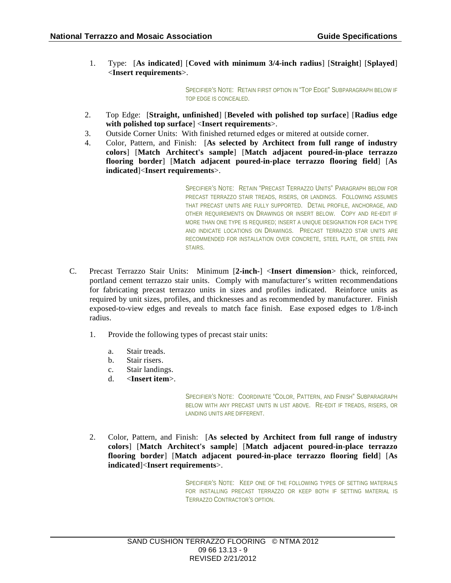1. Type: [**As indicated**] [**Coved with minimum 3/4-inch radius**] [**Straight**] [**Splayed**] <**Insert requirements**>.

> SPECIFIER'S NOTE: RETAIN FIRST OPTION IN "TOP EDGE" SUBPARAGRAPH BELOW IF TOP EDGE IS CONCEALED.

- 2. Top Edge: [**Straight, unfinished**] [**Beveled with polished top surface**] [**Radius edge with polished top surface**] <**Insert requirements**>.
- 3. Outside Corner Units: With finished returned edges or mitered at outside corner.
- 4. Color, Pattern, and Finish: [**As selected by Architect from full range of industry colors**] [**Match Architect's sample**] [**Match adjacent poured-in-place terrazzo flooring border**] [**Match adjacent poured-in-place terrazzo flooring field**] [**As indicated**]<**Insert requirements**>.

SPECIFIER'S NOTE: RETAIN "PRECAST TERRAZZO UNITS" PARAGRAPH BELOW FOR PRECAST TERRAZZO STAIR TREADS, RISERS, OR LANDINGS. FOLLOWING ASSUMES THAT PRECAST UNITS ARE FULLY SUPPORTED. DETAIL PROFILE, ANCHORAGE, AND OTHER REQUIREMENTS ON DRAWINGS OR INSERT BELOW. COPY AND RE-EDIT IF MORE THAN ONE TYPE IS REQUIRED; INSERT A UNIQUE DESIGNATION FOR EACH TYPE AND INDICATE LOCATIONS ON DRAWINGS. PRECAST TERRAZZO STAR UNITS ARE RECOMMENDED FOR INSTALLATION OVER CONCRETE, STEEL PLATE, OR STEEL PAN STAIRS.

- C. Precast Terrazzo Stair Units: Minimum [**2-inch-**] <**Insert dimension**> thick, reinforced, portland cement terrazzo stair units. Comply with manufacturer's written recommendations for fabricating precast terrazzo units in sizes and profiles indicated. Reinforce units as required by unit sizes, profiles, and thicknesses and as recommended by manufacturer. Finish exposed-to-view edges and reveals to match face finish. Ease exposed edges to 1/8-inch radius.
	- 1. Provide the following types of precast stair units:
		- a. Stair treads.
		- b. Stair risers.
		- c. Stair landings.
		- d. <**Insert item**>.

SPECIFIER'S NOTE: COORDINATE "COLOR, PATTERN, AND FINISH" SUBPARAGRAPH BELOW WITH ANY PRECAST UNITS IN LIST ABOVE. RE-EDIT IF TREADS, RISERS, OR LANDING UNITS ARE DIFFERENT.

2. Color, Pattern, and Finish: [**As selected by Architect from full range of industry colors**] [**Match Architect's sample**] [**Match adjacent poured-in-place terrazzo flooring border**] [**Match adjacent poured-in-place terrazzo flooring field**] [**As indicated**]<**Insert requirements**>.

> SPECIFIER'S NOTE: KEEP ONE OF THE FOLLOWING TYPES OF SETTING MATERIALS FOR INSTALLING PRECAST TERRAZZO OR KEEP BOTH IF SETTING MATERIAL IS TERRAZZO CONTRACTOR'S OPTION.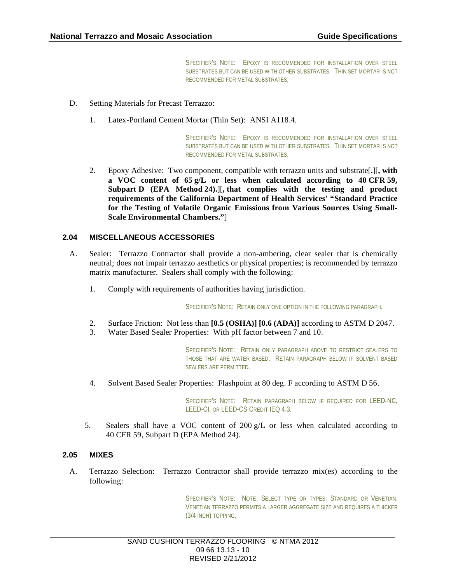SPECIFIER'S NOTE: EPOXY IS RECOMMENDED FOR INSTALLATION OVER STEEL SUBSTRATES BUT CAN BE USED WITH OTHER SUBSTRATES. THIN SET MORTAR IS NOT RECOMMENDED FOR METAL SUBSTRATES,

- D. Setting Materials for Precast Terrazzo:
	- 1. Latex-Portland Cement Mortar (Thin Set): ANSI A118.4.

SPECIFIER'S NOTE: EPOXY IS RECOMMENDED FOR INSTALLATION OVER STEEL SUBSTRATES BUT CAN BE USED WITH OTHER SUBSTRATES. THIN SET MORTAR IS NOT RECOMMENDED FOR METAL SUBSTRATES,

2. Epoxy Adhesive: Two component, compatible with terrazzo units and substrate[**.**][**, with a VOC content of 65 g/L or less when calculated according to 40 CFR 59, Subpart D (EPA Method 24).**][**, that complies with the testing and product requirements of the California Department of Health Services' "Standard Practice for the Testing of Volatile Organic Emissions from Various Sources Using Small-Scale Environmental Chambers."**]

#### **2.04 MISCELLANEOUS ACCESSORIES**

- A. Sealer: Terrazzo Contractor shall provide a non-ambering, clear sealer that is chemically neutral; does not impair terrazzo aesthetics or physical properties; is recommended by terrazzo matrix manufacturer. Sealers shall comply with the following:
	- 1. Comply with requirements of authorities having jurisdiction.

SPECIFIER'S NOTE: RETAIN ONLY ONE OPTION IN THE FOLLOWING PARAGRAPH.

- 2. Surface Friction: Not less than **[0.5 (OSHA)] [0.6 (ADA)]** according to ASTM D 2047.
- 3. Water Based Sealer Properties: With pH factor between 7 and 10.

SPECIFIER'S NOTE: RETAIN ONLY PARAGRAPH ABOVE TO RESTRICT SEALERS TO THOSE THAT ARE WATER BASED. RETAIN PARAGRAPH BELOW IF SOLVENT BASED SEALERS ARE PERMITTED.

4. Solvent Based Sealer Properties: Flashpoint at 80 deg. F according to ASTM D 56.

SPECIFIER'S NOTE: RETAIN PARAGRAPH BELOW IF REQUIRED FOR LEED-NC, LEED-CI, OR LEED-CS CREDIT IEQ 4.3.

5. Sealers shall have a VOC content of  $200 g/L$  or less when calculated according to 40 CFR 59, Subpart D (EPA Method 24).

#### **2.05 MIXES**

A. Terrazzo Selection: Terrazzo Contractor shall provide terrazzo mix(es) according to the following:

> SPECIFIER'S NOTE: NOTE: SELECT TYPE OR TYPES: STANDARD OR VENETIAN. VENETIAN TERRAZZO PERMITS A LARGER AGGREGATE SIZE AND REQUIRES A THICKER (3/4 INCH) TOPPING,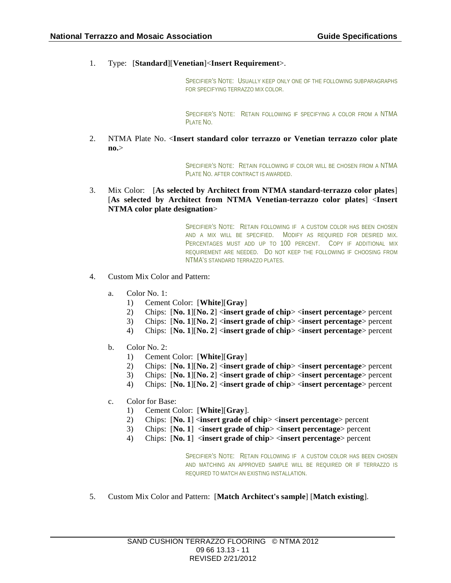1. Type: [**Standard**][**Venetian**]<**Insert Requirement**>.

SPECIFIER'S NOTE: USUALLY KEEP ONLY ONE OF THE FOLLOWING SUBPARAGRAPHS FOR SPECIFYING TERRAZZO MIX COLOR.

SPECIFIER'S NOTE: RETAIN FOLLOWING IF SPECIFYING A COLOR FROM A NTMA PLATE NO.

2. NTMA Plate No. <**Insert standard color terrazzo or Venetian terrazzo color plate no.**>

> SPECIFIER'S NOTE: RETAIN FOLLOWING IF COLOR WILL BE CHOSEN FROM A NTMA PLATE NO. AFTER CONTRACT IS AWARDED.

3. Mix Color: [**As selected by Architect from NTMA standard-terrazzo color plates**] [**As selected by Architect from NTMA Venetian-terrazzo color plates**] <**Insert NTMA color plate designation**>

> SPECIFIER'S NOTE: RETAIN FOLLOWING IF A CUSTOM COLOR HAS BEEN CHOSEN AND A MIX WILL BE SPECIFIED. MODIFY AS REQUIRED FOR DESIRED MIX. PERCENTAGES MUST ADD UP TO 100 PERCENT. COPY IF ADDITIONAL MIX REQUIREMENT ARE NEEDED. DO NOT KEEP THE FOLLOWING IF CHOOSING FROM NTMA'S STANDARD TERRAZZO PLATES.

- 4. Custom Mix Color and Pattern:
	- a. Color No. 1:
		- 1) Cement Color: [**White**][**Gray**]
		- 2) Chips: [**No. 1**][**No. 2**] <**insert grade of chip**> <**insert percentage**> percent
		- 3) Chips: [**No. 1**][**No. 2**] <**insert grade of chip**> <**insert percentage**> percent
		- 4) Chips: [**No. 1**][**No. 2**] <**insert grade of chip**> <**insert percentage**> percent
	- b. Color No. 2:
		- 1) Cement Color: [**White**][**Gray**]
		- 2) Chips: [**No. 1**][**No. 2**] <**insert grade of chip**> <**insert percentage**> percent
		- 3) Chips: [**No. 1**][**No. 2**] <**insert grade of chip**> <**insert percentage**> percent
		- 4) Chips: [**No. 1**][**No. 2**] <**insert grade of chip**> <**insert percentage**> percent
	- c. Color for Base:
		- 1) Cement Color: [**White**][**Gray**].
		- 2) Chips: [**No. 1**] <**insert grade of chip**> <**insert percentage**> percent
		- 3) Chips: [**No. 1**] <**insert grade of chip**> <**insert percentage**> percent
		- 4) Chips: [**No. 1**] <**insert grade of chip**> <**insert percentage**> percent

SPECIFIER'S NOTE: RETAIN FOLLOWING IF A CUSTOM COLOR HAS BEEN CHOSEN AND MATCHING AN APPROVED SAMPLE WILL BE REQUIRED OR IF TERRAZZO IS REQUIRED TO MATCH AN EXISTING INSTALLATION.

5. Custom Mix Color and Pattern: [**Match Architect's sample**] [**Match existing**].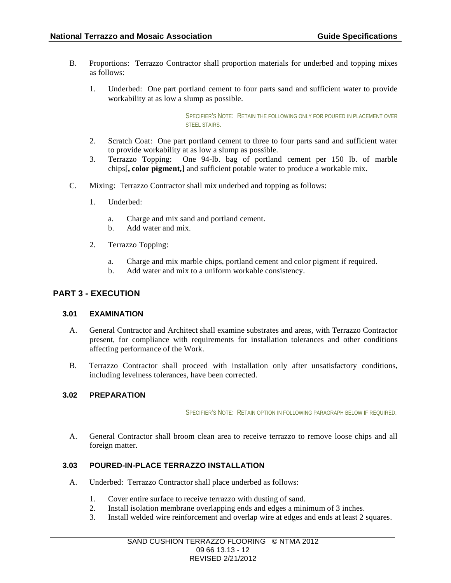- B. Proportions: Terrazzo Contractor shall proportion materials for underbed and topping mixes as follows:
	- 1. Underbed: One part portland cement to four parts sand and sufficient water to provide workability at as low a slump as possible.

SPECIFIER'S NOTE: RETAIN THE FOLLOWING ONLY FOR POLIRED IN PLACEMENT OVER STEEL STAIRS.

- 2. Scratch Coat: One part portland cement to three to four parts sand and sufficient water to provide workability at as low a slump as possible.
- 3. Terrazzo Topping: One 94-lb. bag of portland cement per 150 lb. of marble chips[**, color pigment,]** and sufficient potable water to produce a workable mix.
- C. Mixing: Terrazzo Contractor shall mix underbed and topping as follows:
	- 1. Underbed:
		- a. Charge and mix sand and portland cement.
		- b. Add water and mix.
	- 2. Terrazzo Topping:
		- a. Charge and mix marble chips, portland cement and color pigment if required.
		- b. Add water and mix to a uniform workable consistency.

# **PART 3 - EXECUTION**

#### **3.01 EXAMINATION**

- A. General Contractor and Architect shall examine substrates and areas, with Terrazzo Contractor present, for compliance with requirements for installation tolerances and other conditions affecting performance of the Work.
- B. Terrazzo Contractor shall proceed with installation only after unsatisfactory conditions, including levelness tolerances, have been corrected.

#### **3.02 PREPARATION**

SPECIFIER'S NOTE: RETAIN OPTION IN FOLLOWING PARAGRAPH BELOW IF REQUIRED.

A. General Contractor shall broom clean area to receive terrazzo to remove loose chips and all foreign matter.

# **3.03 POURED-IN-PLACE TERRAZZO INSTALLATION**

- A. Underbed: Terrazzo Contractor shall place underbed as follows:
	- 1. Cover entire surface to receive terrazzo with dusting of sand.
	- 2. Install isolation membrane overlapping ends and edges a minimum of 3 inches.
	- 3. Install welded wire reinforcement and overlap wire at edges and ends at least 2 squares.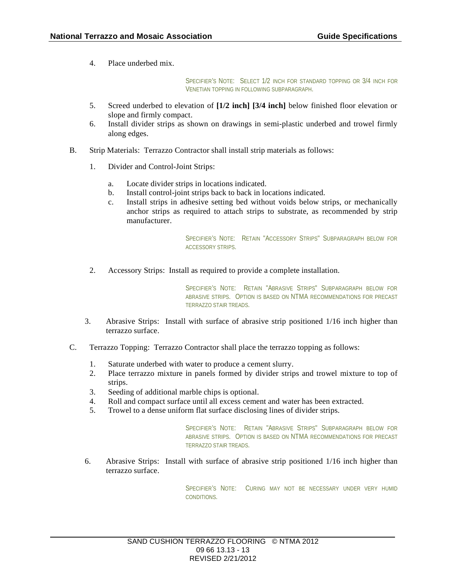4. Place underbed mix.

SPECIFIER'S NOTE: SELECT 1/2 INCH FOR STANDARD TOPPING OR 3/4 INCH FOR VENETIAN TOPPING IN FOLLOWING SUBPARAGRAPH.

- 5. Screed underbed to elevation of **[1/2 inch] [3/4 inch]** below finished floor elevation or slope and firmly compact.
- 6. Install divider strips as shown on drawings in semi-plastic underbed and trowel firmly along edges.
- B. Strip Materials: Terrazzo Contractor shall install strip materials as follows:
	- 1. Divider and Control-Joint Strips:
		- a. Locate divider strips in locations indicated.
		- b. Install control-joint strips back to back in locations indicated.
		- c. Install strips in adhesive setting bed without voids below strips, or mechanically anchor strips as required to attach strips to substrate, as recommended by strip manufacturer.

SPECIFIER'S NOTE: RETAIN "ACCESSORY STRIPS" SUBPARAGRAPH BELOW FOR ACCESSORY STRIPS.

2. Accessory Strips: Install as required to provide a complete installation.

SPECIFIER'S NOTE: RETAIN "ABRASIVE STRIPS" SUBPARAGRAPH BELOW FOR ABRASIVE STRIPS. OPTION IS BASED ON NTMA RECOMMENDATIONS FOR PRECAST TERRAZZO STAIR TREADS.

- 3. Abrasive Strips: Install with surface of abrasive strip positioned 1/16 inch higher than terrazzo surface.
- C. Terrazzo Topping: Terrazzo Contractor shall place the terrazzo topping as follows:
	- 1. Saturate underbed with water to produce a cement slurry.
	- 2. Place terrazzo mixture in panels formed by divider strips and trowel mixture to top of strips.
	- 3. Seeding of additional marble chips is optional.
	- 4. Roll and compact surface until all excess cement and water has been extracted.
	- 5. Trowel to a dense uniform flat surface disclosing lines of divider strips.

SPECIFIER'S NOTE: RETAIN "ABRASIVE STRIPS" SUBPARAGRAPH BELOW FOR ABRASIVE STRIPS. OPTION IS BASED ON NTMA RECOMMENDATIONS FOR PRECAST TERRAZZO STAIR TREADS.

6. Abrasive Strips: Install with surface of abrasive strip positioned 1/16 inch higher than terrazzo surface.

> SPECIFIER'S NOTE: CURING MAY NOT BE NECESSARY UNDER VERY HUMID CONDITIONS.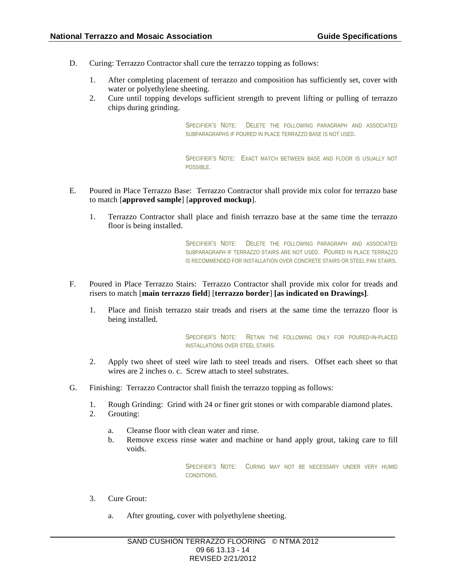- D. Curing: Terrazzo Contractor shall cure the terrazzo topping as follows:
	- 1. After completing placement of terrazzo and composition has sufficiently set, cover with water or polyethylene sheeting.
	- 2. Cure until topping develops sufficient strength to prevent lifting or pulling of terrazzo chips during grinding.

SPECIFIER'S NOTE: DELETE THE FOLLOWING PARAGRAPH AND ASSOCIATED SUBPARAGRAPHS IF POURED IN PLACE TERRAZZO BASE IS NOT USED.

SPECIFIER'S NOTE: EXACT MATCH BETWEEN BASE AND FLOOR IS USUALLY NOT POSSIBLE.

- E. Poured in Place Terrazzo Base: Terrazzo Contractor shall provide mix color for terrazzo base to match [**approved sample**] [**approved mockup**].
	- 1. Terrazzo Contractor shall place and finish terrazzo base at the same time the terrazzo floor is being installed.

SPECIFIER'S NOTE: DELETE THE FOLLOWING PARAGRAPH AND ASSOCIATED SUBPARAGRAPH IF TERRAZZO STAIRS ARE NOT USED. POURED IN PLACE TERRAZZO IS RECOMMENDED FOR INSTALLATION OVER CONCRETE STAIRS OR STEEL PAN STAIRS.

- F. Poured in Place Terrazzo Stairs: Terrazzo Contractor shall provide mix color for treads and risers to match [**main terrazzo field**] [**terrazzo border**] **[as indicated on Drawings]**.
	- 1. Place and finish terrazzo stair treads and risers at the same time the terrazzo floor is being installed.

SPECIFIER'S NOTE: RETAIN THE FOLLOWING ONLY FOR POURED-IN-PLACED INSTALLATIONS OVER STEEL STAIRS.

- 2. Apply two sheet of steel wire lath to steel treads and risers. Offset each sheet so that wires are 2 inches o. c. Screw attach to steel substrates.
- G. Finishing: Terrazzo Contractor shall finish the terrazzo topping as follows:
	- 1. Rough Grinding: Grind with 24 or finer grit stones or with comparable diamond plates.
	- 2. Grouting:
		- a. Cleanse floor with clean water and rinse.
		- b. Remove excess rinse water and machine or hand apply grout, taking care to fill voids.

SPECIFIER'S NOTE: CURING MAY NOT BE NECESSARY UNDER VERY HUMID CONDITIONS.

- 3. Cure Grout:
	- a. After grouting, cover with polyethylene sheeting.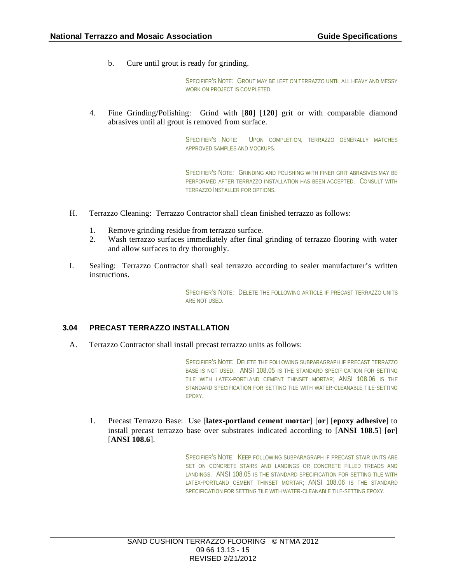b. Cure until grout is ready for grinding.

SPECIFIER'S NOTE: GROUT MAY BE LEFT ON TERRAZZO UNTIL ALL HEAVY AND MESSY WORK ON PROJECT IS COMPLETED.

4. Fine Grinding/Polishing: Grind with [**80**] [**120**] grit or with comparable diamond abrasives until all grout is removed from surface.

> SPECIFIER'S NOTE: UPON COMPLETION, TERRAZZO GENERALLY MATCHES APPROVED SAMPLES AND MOCKUPS.

> SPECIFIER'S NOTE: GRINDING AND POLISHING WITH FINER GRIT ABRASIVES MAY BE PERFORMED AFTER TERRAZZO INSTALLATION HAS BEEN ACCEPTED. CONSULT WITH TERRAZZO INSTALLER FOR OPTIONS.

- H. Terrazzo Cleaning: Terrazzo Contractor shall clean finished terrazzo as follows:
	- 1. Remove grinding residue from terrazzo surface.
	- 2. Wash terrazzo surfaces immediately after final grinding of terrazzo flooring with water and allow surfaces to dry thoroughly.
- I. Sealing: Terrazzo Contractor shall seal terrazzo according to sealer manufacturer's written instructions.

SPECIFIER'S NOTE: DELETE THE FOLLOWING ARTICLE IF PRECAST TERRAZZO UNITS ARE NOT USED.

#### **3.04 PRECAST TERRAZZO INSTALLATION**

A. Terrazzo Contractor shall install precast terrazzo units as follows:

SPECIFIER'S NOTE: DELETE THE FOLLOWING SUBPARAGRAPH IF PRECAST TERRAZZO BASE IS NOT USED. ANSI 108.05 IS THE STANDARD SPECIFICATION FOR SETTING TILE WITH LATEX-PORTLAND CEMENT THINSET MORTAR; ANSI 108.06 IS THE STANDARD SPECIFICATION FOR SETTING TILE WITH WATER-CLEANABLE TILE-SETTING EPOXY.

1. Precast Terrazzo Base: Use [**latex-portland cement mortar**] [**or**] [**epoxy adhesive**] to install precast terrazzo base over substrates indicated according to [**ANSI 108.5**] [**or**] [**ANSI 108.6**].

> SPECIFIER'S NOTE: KEEP FOLLOWING SUBPARAGRAPH IF PRECAST STAIR UNITS ARE SET ON CONCRETE STAIRS AND LANDINGS OR CONCRETE FILLED TREADS AND LANDINGS. ANSI 108.05 IS THE STANDARD SPECIFICATION FOR SETTING TILE WITH LATEX-PORTLAND CEMENT THINSET MORTAR; ANSI 108.06 IS THE STANDARD SPECIFICATION FOR SETTING TILE WITH WATER-CLEANABLE TILE-SETTING EPOXY.